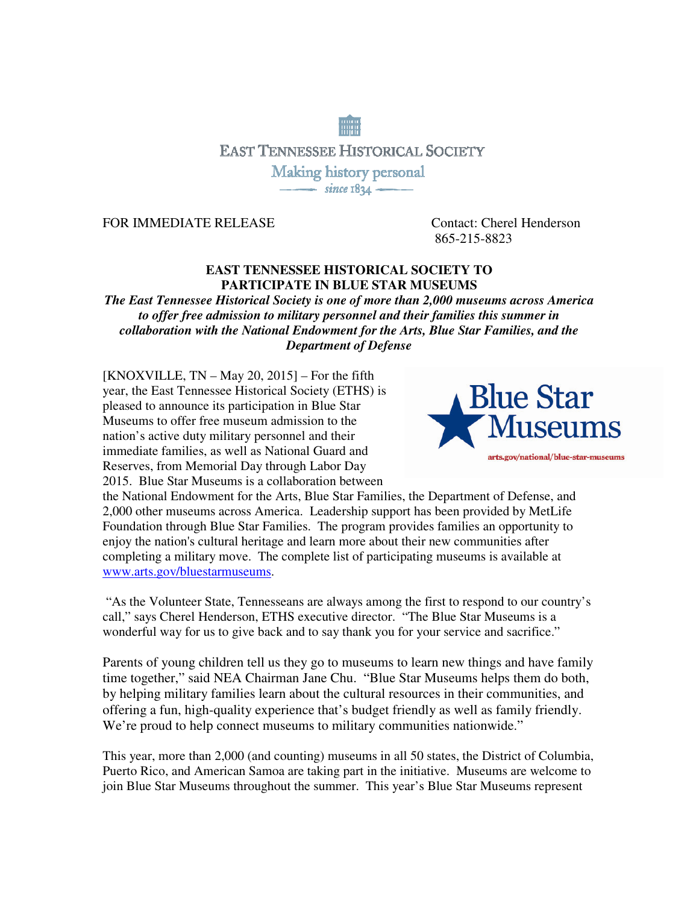# **EAST TENNESSEE HISTORICAL SOCIETY** Making history personal  $\overline{\qquad}$  since  $1834$

FOR IMMEDIATE RELEASE Contact: Cherel Henderson

865-215-8823

## **EAST TENNESSEE HISTORICAL SOCIETY TO PARTICIPATE IN BLUE STAR MUSEUMS**

*The East Tennessee Historical Society is one of more than 2,000 museums across America to offer free admission to military personnel and their families this summer in collaboration with the National Endowment for the Arts, Blue Star Families, and the Department of Defense* 

 $[KNOXVILLE, TN - May 20, 2015] - For the fifth$ year, the East Tennessee Historical Society (ETHS) is pleased to announce its participation in Blue Star Museums to offer free museum admission to the nation's active duty military personnel and their immediate families, as well as National Guard and Reserves, from Memorial Day through Labor Day 2015. Blue Star Museums is a collaboration between



the National Endowment for the Arts, Blue Star Families, the Department of Defense, and 2,000 other museums across America. Leadership support has been provided by MetLife Foundation through Blue Star Families. The program provides families an opportunity to enjoy the nation's cultural heritage and learn more about their new communities after completing a military move. The complete list of participating museums is available at www.arts.gov/bluestarmuseums.

 "As the Volunteer State, Tennesseans are always among the first to respond to our country's call," says Cherel Henderson, ETHS executive director. "The Blue Star Museums is a wonderful way for us to give back and to say thank you for your service and sacrifice."

Parents of young children tell us they go to museums to learn new things and have family time together," said NEA Chairman Jane Chu. "Blue Star Museums helps them do both, by helping military families learn about the cultural resources in their communities, and offering a fun, high-quality experience that's budget friendly as well as family friendly. We're proud to help connect museums to military communities nationwide."

This year, more than 2,000 (and counting) museums in all 50 states, the District of Columbia, Puerto Rico, and American Samoa are taking part in the initiative. Museums are welcome to join Blue Star Museums throughout the summer. This year's Blue Star Museums represent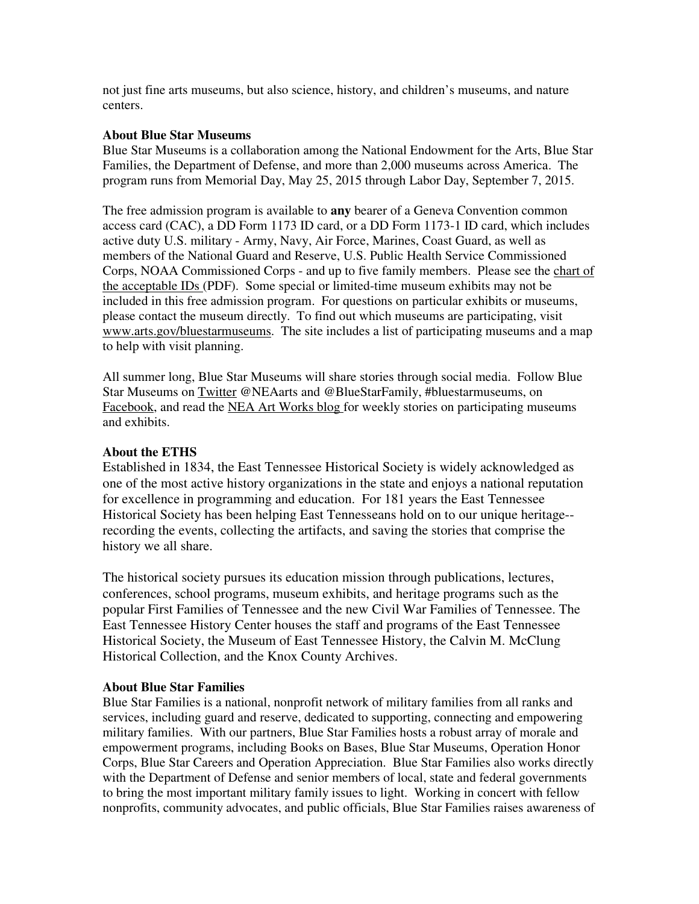not just fine arts museums, but also science, history, and children's museums, and nature centers.

#### **About Blue Star Museums**

Blue Star Museums is a collaboration among the National Endowment for the Arts, Blue Star Families, the Department of Defense, and more than 2,000 museums across America. The program runs from Memorial Day, May 25, 2015 through Labor Day, September 7, 2015.

The free admission program is available to **any** bearer of a Geneva Convention common access card (CAC), a DD Form 1173 ID card, or a DD Form 1173-1 ID card, which includes active duty U.S. military - Army, Navy, Air Force, Marines, Coast Guard, as well as members of the National Guard and Reserve, U.S. Public Health Service Commissioned Corps, NOAA Commissioned Corps - and up to five family members. Please see the chart of the acceptable IDs (PDF). Some special or limited-time museum exhibits may not be included in this free admission program. For questions on particular exhibits or museums, please contact the museum directly. To find out which museums are participating, visit www.arts.gov/bluestarmuseums. The site includes a list of participating museums and a map to help with visit planning.

All summer long, Blue Star Museums will share stories through social media. Follow Blue Star Museums on Twitter @NEAarts and @BlueStarFamily, #bluestarmuseums, on Facebook, and read the NEA Art Works blog for weekly stories on participating museums and exhibits.

### **About the ETHS**

Established in 1834, the East Tennessee Historical Society is widely acknowledged as one of the most active history organizations in the state and enjoys a national reputation for excellence in programming and education. For 181 years the East Tennessee Historical Society has been helping East Tennesseans hold on to our unique heritage- recording the events, collecting the artifacts, and saving the stories that comprise the history we all share.

The historical society pursues its education mission through publications, lectures, conferences, school programs, museum exhibits, and heritage programs such as the popular First Families of Tennessee and the new Civil War Families of Tennessee. The East Tennessee History Center houses the staff and programs of the East Tennessee Historical Society, the Museum of East Tennessee History, the Calvin M. McClung Historical Collection, and the Knox County Archives.

#### **About Blue Star Families**

Blue Star Families is a national, nonprofit network of military families from all ranks and services, including guard and reserve, dedicated to supporting, connecting and empowering military families. With our partners, Blue Star Families hosts a robust array of morale and empowerment programs, including Books on Bases, Blue Star Museums, Operation Honor Corps, Blue Star Careers and Operation Appreciation. Blue Star Families also works directly with the Department of Defense and senior members of local, state and federal governments to bring the most important military family issues to light. Working in concert with fellow nonprofits, community advocates, and public officials, Blue Star Families raises awareness of